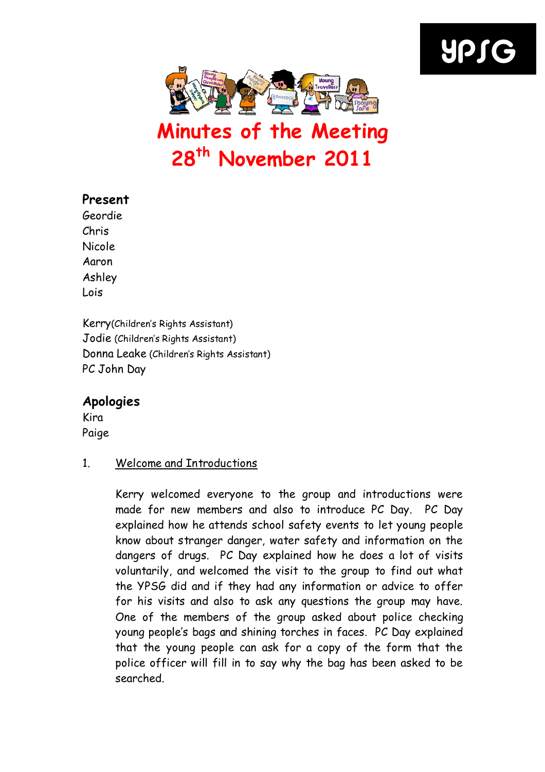# YPSG



# Minutes of the Meeting 28th November 2011

### Present

Geordie Chris Nicole Aaron Ashley Lois

Kerry(Children's Rights Assistant) Jodie (Children's Rights Assistant) Donna Leake (Children's Rights Assistant) PC John Day

## Apologies

Kira Paige

#### 1. Welcome and Introductions

Kerry welcomed everyone to the group and introductions were made for new members and also to introduce PC Day. PC Day explained how he attends school safety events to let young people know about stranger danger, water safety and information on the dangers of drugs. PC Day explained how he does a lot of visits voluntarily, and welcomed the visit to the group to find out what the YPSG did and if they had any information or advice to offer for his visits and also to ask any questions the group may have. One of the members of the group asked about police checking young people's bags and shining torches in faces. PC Day explained that the young people can ask for a copy of the form that the police officer will fill in to say why the bag has been asked to be searched.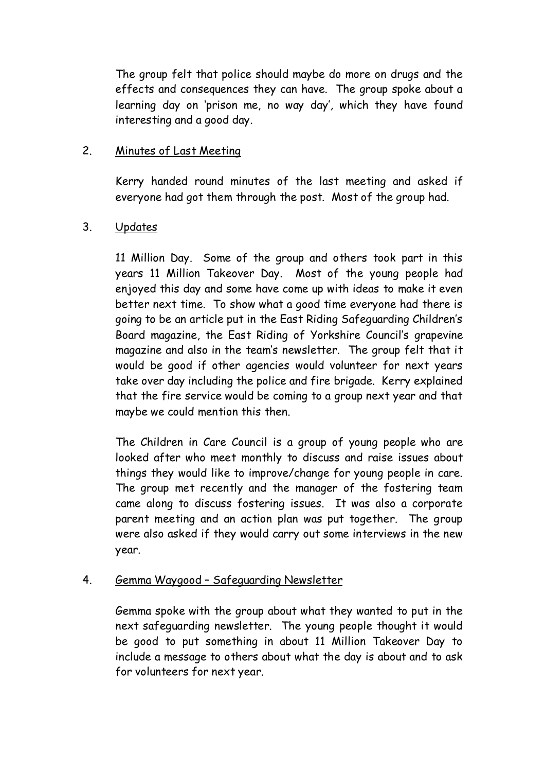The group felt that police should maybe do more on drugs and the effects and consequences they can have. The group spoke about a learning day on 'prison me, no way day', which they have found interesting and a good day.

#### 2. Minutes of Last Meeting

Kerry handed round minutes of the last meeting and asked if everyone had got them through the post. Most of the group had.

#### 3. Updates

11 Million Day. Some of the group and others took part in this years 11 Million Takeover Day. Most of the young people had enjoyed this day and some have come up with ideas to make it even better next time. To show what a good time everyone had there is going to be an article put in the East Riding Safeguarding Children's Board magazine, the East Riding of Yorkshire Council's grapevine magazine and also in the team's newsletter. The group felt that it would be good if other agencies would volunteer for next years take over day including the police and fire brigade. Kerry explained that the fire service would be coming to a group next year and that maybe we could mention this then.

The Children in Care Council is a group of young people who are looked after who meet monthly to discuss and raise issues about things they would like to improve/change for young people in care. The group met recently and the manager of the fostering team came along to discuss fostering issues. It was also a corporate parent meeting and an action plan was put together. The group were also asked if they would carry out some interviews in the new year.

#### 4. Gemma Waygood – Safeguarding Newsletter

Gemma spoke with the group about what they wanted to put in the next safeguarding newsletter. The young people thought it would be good to put something in about 11 Million Takeover Day to include a message to others about what the day is about and to ask for volunteers for next year.